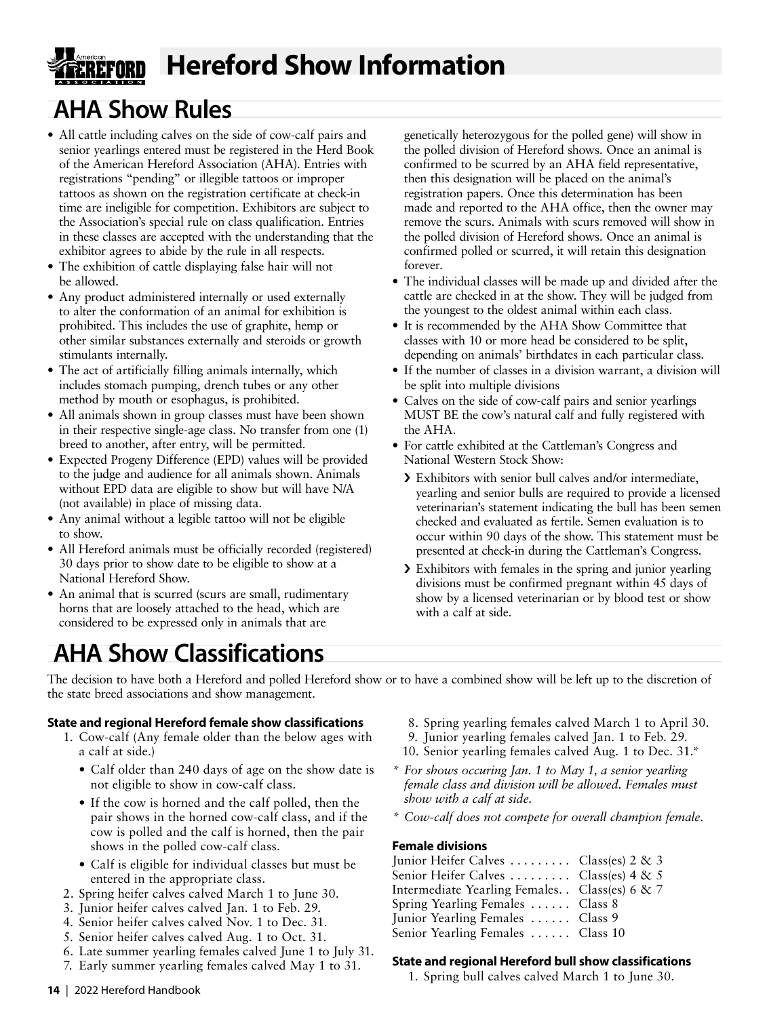# **Hereford Show Information**

# **AHA Show Rules**

- All cattle including calves on the side of cow-calf pairs and senior yearlings entered must be registered in the Herd Book of the American Hereford Association (AHA). Entries with registrations "pending" or illegible tattoos or improper tattoos as shown on the registration certificate at check-in time are ineligible for competition. Exhibitors are subject to the Association's special rule on class qualification. Entries in these classes are accepted with the understanding that the exhibitor agrees to abide by the rule in all respects.
- The exhibition of cattle displaying false hair will not be allowed.
- Any product administered internally or used externally to alter the conformation of an animal for exhibition is prohibited. This includes the use of graphite, hemp or other similar substances externally and steroids or growth stimulants internally.
- The act of artificially filling animals internally, which includes stomach pumping, drench tubes or any other method by mouth or esophagus, is prohibited.
- All animals shown in group classes must have been shown in their respective single-age class. No transfer from one (1) breed to another, after entry, will be permitted.
- Expected Progeny Difference (EPD) values will be provided to the judge and audience for all animals shown. Animals without EPD data are eligible to show but will have N/A (not available) in place of missing data.
- Any animal without a legible tattoo will not be eligible to show.
- All Hereford animals must be officially recorded (registered) 30 days prior to show date to be eligible to show at a National Hereford Show.
- An animal that is scurred (scurs are small, rudimentary horns that are loosely attached to the head, which are considered to be expressed only in animals that are

genetically heterozygous for the polled gene) will show in the polled division of Hereford shows. Once an animal is confirmed to be scurred by an AHA field representative, then this designation will be placed on the animal's registration papers. Once this determination has been made and reported to the AHA office, then the owner may remove the scurs. Animals with scurs removed will show in the polled division of Hereford shows. Once an animal is confirmed polled or scurred, it will retain this designation forever.

- The individual classes will be made up and divided after the cattle are checked in at the show. They will be judged from the youngest to the oldest animal within each class.
- It is recommended by the AHA Show Committee that classes with 10 or more head be considered to be split, depending on animals' birthdates in each particular class.
- If the number of classes in a division warrant, a division will be split into multiple divisions
- Calves on the side of cow-calf pairs and senior yearlings MUST BE the cow's natural calf and fully registered with the AHA.
- For cattle exhibited at the Cattleman's Congress and National Western Stock Show:
	- › Exhibitors with senior bull calves and/or intermediate, yearling and senior bulls are required to provide a licensed veterinarian's statement indicating the bull has been semen checked and evaluated as fertile. Semen evaluation is to occur within 90 days of the show. This statement must be presented at check-in during the Cattleman's Congress.
	- › Exhibitors with females in the spring and junior yearling divisions must be confirmed pregnant within 45 days of show by a licensed veterinarian or by blood test or show with a calf at side.

# **AHA Show Classifications**

The decision to have both a Hereford and polled Hereford show or to have a combined show will be left up to the discretion of the state breed associations and show management.

# **State and regional Hereford female show classifications**

- 1. Cow-calf (Any female older than the below ages with a calf at side.)
	- Calf older than 240 days of age on the show date is not eligible to show in cow-calf class.
	- If the cow is horned and the calf polled, then the pair shows in the horned cow-calf class, and if the cow is polled and the calf is horned, then the pair shows in the polled cow-calf class.
	- Calf is eligible for individual classes but must be entered in the appropriate class.
- 2. Spring heifer calves calved March 1 to June 30.
- 3. Junior heifer calves calved Jan. 1 to Feb. 29.
- 4. Senior heifer calves calved Nov. 1 to Dec. 31.
- 5. Senior heifer calves calved Aug. 1 to Oct. 31.
- 6. Late summer yearling females calved June 1 to July 31.
- 7. Early summer yearling females calved May 1 to 31.
- 8. Spring yearling females calved March 1 to April 30.
- 9. Junior yearling females calved Jan. 1 to Feb. 29.
- 10. Senior yearling females calved Aug. 1 to Dec. 31.\*
- *\* For shows occuring Jan. 1 to May 1, a senior yearling female class and division will be allowed. Females must show with a calf at side.*
- *\* Cow-calf does not compete for overall champion female.*

# **Female divisions**

Junior Heifer Calves  $\dots \dots$  Class(es) 2 & 3 Senior Heifer Calves ........ Class(es) 4 & 5 Intermediate Yearling Females. . Class(es)  $6 < 7$ Spring Yearling Females ...... Class 8 Junior Yearling Females ...... Class 9 Senior Yearling Females ...... Class 10

# **State and regional Hereford bull show classifications**

1. Spring bull calves calved March 1 to June 30.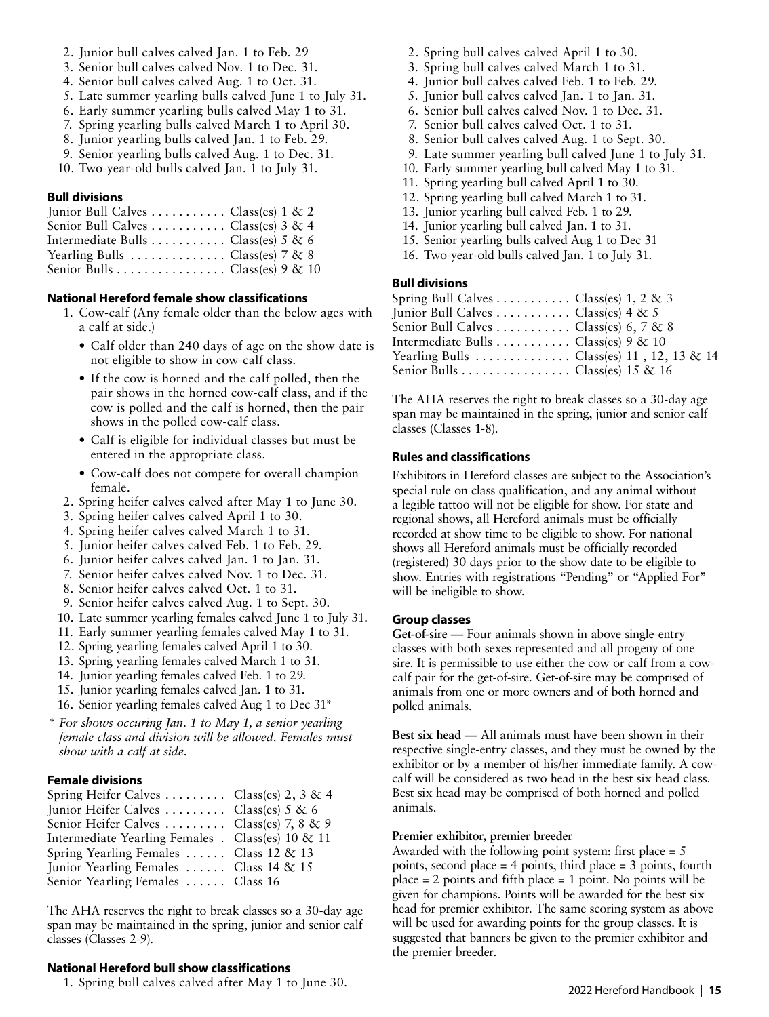- 2. Junior bull calves calved Jan. 1 to Feb. 29
- 3. Senior bull calves calved Nov. 1 to Dec. 31.
- 4. Senior bull calves calved Aug. 1 to Oct. 31.
- 5. Late summer yearling bulls calved June 1 to July 31.
- 6. Early summer yearling bulls calved May 1 to 31.
- 7. Spring yearling bulls calved March 1 to April 30.
- 8. Junior yearling bulls calved Jan. 1 to Feb. 29.
- 9. Senior yearling bulls calved Aug. 1 to Dec. 31.
- 10. Two-year-old bulls calved Jan. 1 to July 31.

#### **Bull divisions**

| Junior Bull Calves  Class(es) $1 \& 2$ |  |
|----------------------------------------|--|
| Senior Bull Calves  Class(es) $3 & 4$  |  |
| Intermediate Bulls  Class(es) $5 & 6$  |  |
| Yearling Bulls  Class(es) $7 & 8$      |  |
| Senior Bulls Class(es) $9 \& 10$       |  |

#### **National Hereford female show classifications**

- 1. Cow-calf (Any female older than the below ages with a calf at side.)
	- Calf older than 240 days of age on the show date is not eligible to show in cow-calf class.
	- If the cow is horned and the calf polled, then the pair shows in the horned cow-calf class, and if the cow is polled and the calf is horned, then the pair shows in the polled cow-calf class.
	- Calf is eligible for individual classes but must be entered in the appropriate class.
	- Cow-calf does not compete for overall champion female.
- 2. Spring heifer calves calved after May 1 to June 30.
- 3. Spring heifer calves calved April 1 to 30.
- 4. Spring heifer calves calved March 1 to 31.
- 5. Junior heifer calves calved Feb. 1 to Feb. 29.
- 6. Junior heifer calves calved Jan. 1 to Jan. 31.
- 7. Senior heifer calves calved Nov. 1 to Dec. 31.
- 8. Senior heifer calves calved Oct. 1 to 31.
- 9. Senior heifer calves calved Aug. 1 to Sept. 30.
- 10. Late summer yearling females calved June 1 to July 31.
- 11. Early summer yearling females calved May 1 to 31.
- 12. Spring yearling females calved April 1 to 30.
- 13. Spring yearling females calved March 1 to 31.
- 14. Junior yearling females calved Feb. 1 to 29.
- 15. Junior yearling females calved Jan. 1 to 31.
- 16. Senior yearling females calved Aug 1 to Dec 31\*
- *\* For shows occuring Jan. 1 to May 1, a senior yearling female class and division will be allowed. Females must show with a calf at side.*

## **Female divisions**

| Spring Heifer Calves  Class(es) 2, 3 & 4          |
|---------------------------------------------------|
| Junior Heifer Calves  Class(es) $5 & 6$           |
| Senior Heifer Calves  Class(es) 7, 8 & 9          |
| Intermediate Yearling Females . Class(es) 10 & 11 |
| Spring Yearling Females  Class 12 & 13            |
| Junior Yearling Females  Class 14 & 15            |
| Senior Yearling Females  Class 16                 |
|                                                   |

The AHA reserves the right to break classes so a 30-day age span may be maintained in the spring, junior and senior calf classes (Classes 2-9).

## **National Hereford bull show classifications**

1. Spring bull calves calved after May 1 to June 30.

- 2. Spring bull calves calved April 1 to 30.
- 3. Spring bull calves calved March 1 to 31.
- 4. Junior bull calves calved Feb. 1 to Feb. 29.
- 5. Junior bull calves calved Jan. 1 to Jan. 31.
- 6. Senior bull calves calved Nov. 1 to Dec. 31.
- 7. Senior bull calves calved Oct. 1 to 31.
- 8. Senior bull calves calved Aug. 1 to Sept. 30.
- 9. Late summer yearling bull calved June 1 to July 31.
- 10. Early summer yearling bull calved May 1 to 31.
- 11. Spring yearling bull calved April 1 to 30.
- 12. Spring yearling bull calved March 1 to 31.
- 13. Junior yearling bull calved Feb. 1 to 29.
- 14. Junior yearling bull calved Jan. 1 to 31.
- 15. Senior yearling bulls calved Aug 1 to Dec 31
- 16. Two-year-old bulls calved Jan. 1 to July 31.

# **Bull divisions**

| Spring Bull Calves Class(es) $1, 2 \& 3$                     |  |
|--------------------------------------------------------------|--|
| Junior Bull Calves  Class(es) $4 \& 5$                       |  |
| Senior Bull Calves Class(es) 6, 7 & 8                        |  |
| Intermediate Bulls Class(es) $9 \& 10$                       |  |
| Yearling Bulls $\dots \dots \dots$ Class(es) 11, 12, 13 & 14 |  |
| Senior Bulls Class(es) 15 & 16                               |  |
|                                                              |  |

The AHA reserves the right to break classes so a 30-day age span may be maintained in the spring, junior and senior calf classes (Classes 1-8).

#### **Rules and classifications**

Exhibitors in Hereford classes are subject to the Association's special rule on class qualification, and any animal without a legible tattoo will not be eligible for show. For state and regional shows, all Hereford animals must be officially recorded at show time to be eligible to show. For national shows all Hereford animals must be officially recorded (registered) 30 days prior to the show date to be eligible to show. Entries with registrations "Pending" or "Applied For" will be ineligible to show.

#### **Group classes**

**Get-of-sire —** Four animals shown in above single-entry classes with both sexes represented and all progeny of one sire. It is permissible to use either the cow or calf from a cowcalf pair for the get-of-sire. Get-of-sire may be comprised of animals from one or more owners and of both horned and polled animals.

**Best six head —** All animals must have been shown in their respective single-entry classes, and they must be owned by the exhibitor or by a member of his/her immediate family. A cowcalf will be considered as two head in the best six head class. Best six head may be comprised of both horned and polled animals.

#### **Premier exhibitor, premier breeder**

Awarded with the following point system: first place  $= 5$ points, second place = 4 points, third place = 3 points, fourth place  $= 2$  points and fifth place  $= 1$  point. No points will be given for champions. Points will be awarded for the best six head for premier exhibitor. The same scoring system as above will be used for awarding points for the group classes. It is suggested that banners be given to the premier exhibitor and the premier breeder.